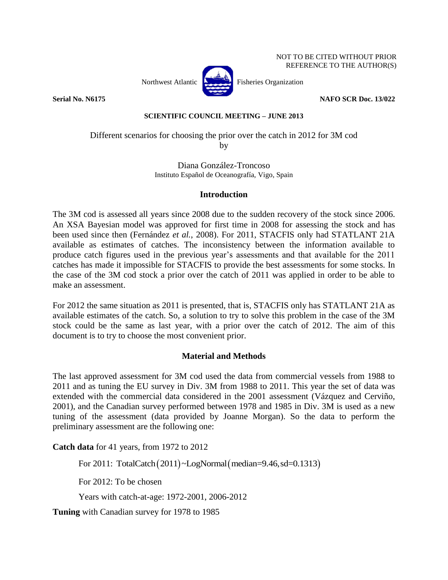

**Serial No. N6175 NAFO SCR** Doc. 13/022

### **SCIENTIFIC COUNCIL MEETING – JUNE 2013**

# Different scenarios for choosing the prior over the catch in 2012 for 3M cod by

Diana González-Troncoso Instituto Español de Oceanografía, Vigo, Spain

### **Introduction**

The 3M cod is assessed all years since 2008 due to the sudden recovery of the stock since 2006. An XSA Bayesian model was approved for first time in 2008 for assessing the stock and has been used since then (Fernández *et al.*, 2008). For 2011, STACFIS only had STATLANT 21A available as estimates of catches. The inconsistency between the information available to produce catch figures used in the previous year's assessments and that available for the 2011 catches has made it impossible for STACFIS to provide the best assessments for some stocks. In the case of the 3M cod stock a prior over the catch of 2011 was applied in order to be able to make an assessment.

For 2012 the same situation as 2011 is presented, that is, STACFIS only has STATLANT 21A as available estimates of the catch. So, a solution to try to solve this problem in the case of the 3M stock could be the same as last year, with a prior over the catch of 2012. The aim of this document is to try to choose the most convenient prior.

## **Material and Methods**

The last approved assessment for 3M cod used the data from commercial vessels from 1988 to 2011 and as tuning the EU survey in Div. 3M from 1988 to 2011. This year the set of data was extended with the commercial data considered in the 2001 assessment (Vázquez and Cerviño, 2001), and the Canadian survey performed between 1978 and 1985 in Div. 3M is used as a new tuning of the assessment (data provided by Joanne Morgan). So the data to perform the preliminary assessment are the following one:

**Catch data** for 41 years, from 1972 to 2012

For 2011: TotalCatch(2011)~LogNormal(median=9.46,sd=0.1313)

For 2012: To be chosen

Years with catch-at-age: 1972-2001, 2006-2012

**Tuning** with Canadian survey for 1978 to 1985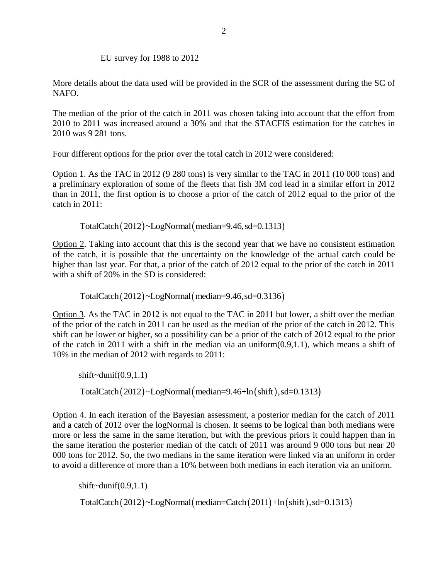EU survey for 1988 to 2012

More details about the data used will be provided in the SCR of the assessment during the SC of NAFO.

The median of the prior of the catch in 2011 was chosen taking into account that the effort from 2010 to 2011 was increased around a 30% and that the STACFIS estimation for the catches in 2010 was 9 281 tons.

Four different options for the prior over the total catch in 2012 were considered:

Option 1. As the TAC in 2012 (9 280 tons) is very similar to the TAC in 2011 (10 000 tons) and a preliminary exploration of some of the fleets that fish 3M cod lead in a similar effort in 2012 than in 2011, the first option is to choose a prior of the catch of 2012 equal to the prior of the catch in 2011:

 $Total Catch (2012) ~LogNormal (median=9.46, sd=0.1313)$ 

Option 2. Taking into account that this is the second year that we have no consistent estimation of the catch, it is possible that the uncertainty on the knowledge of the actual catch could be higher than last year. For that, a prior of the catch of 2012 equal to the prior of the catch in 2011 with a shift of 20% in the SD is considered:

 $Total Catch (2012) ~LogNormal (median=9.46, sd=0.3136)$ 

Option 3. As the TAC in 2012 is not equal to the TAC in 2011 but lower, a shift over the median of the prior of the catch in 2011 can be used as the median of the prior of the catch in 2012. This shift can be lower or higher, so a possibility can be a prior of the catch of 2012 equal to the prior of the catch in 2011 with a shift in the median via an uniform(0.9,1.1), which means a shift of 10% in the median of 2012 with regards to 2011:

 $shift\text{-}{dunif}(0.9,1.1)$  $Total Catch (2012) ~LogNormal (median=9.46+ln (shift), sd=0.1313)$ 

Option 4. In each iteration of the Bayesian assessment, a posterior median for the catch of 2011 and a catch of 2012 over the logNormal is chosen. It seems to be logical than both medians were more or less the same in the same iteration, but with the previous priors it could happen than in the same iteration the posterior median of the catch of 2011 was around 9 000 tons but near 20 000 tons for 2012. So, the two medians in the same iteration were linked via an uniform in order to avoid a difference of more than a 10% between both medians in each iteration via an uniform.

 $shift\text{-}{dunif}(0.9,1.1)$ 

 $Total Catch (2012) ~LogNormal (median = Catch (2011) + ln (shift), sd = 0.1313)$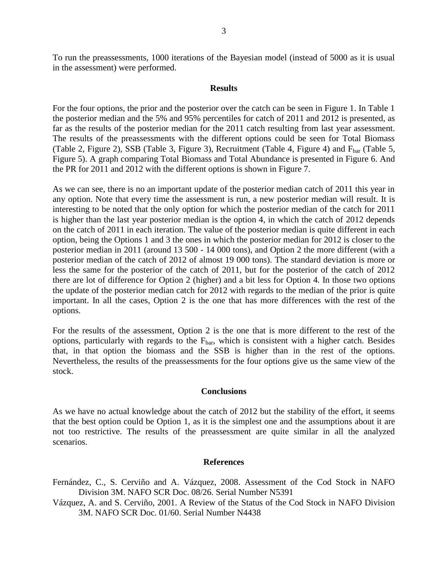To run the preassessments, 1000 iterations of the Bayesian model (instead of 5000 as it is usual in the assessment) were performed.

### **Results**

For the four options, the prior and the posterior over the catch can be seen in Figure 1. In Table 1 the posterior median and the 5% and 95% percentiles for catch of 2011 and 2012 is presented, as far as the results of the posterior median for the 2011 catch resulting from last year assessment. The results of the preassessments with the different options could be seen for Total Biomass (Table 2, Figure 2), SSB (Table 3, Figure 3), Recruitment (Table 4, Figure 4) and  $F_{bar}$  (Table 5, Figure 5). A graph comparing Total Biomass and Total Abundance is presented in Figure 6. And the PR for 2011 and 2012 with the different options is shown in Figure 7.

As we can see, there is no an important update of the posterior median catch of 2011 this year in any option. Note that every time the assessment is run, a new posterior median will result. It is interesting to be noted that the only option for which the posterior median of the catch for 2011 is higher than the last year posterior median is the option 4, in which the catch of 2012 depends on the catch of 2011 in each iteration. The value of the posterior median is quite different in each option, being the Options 1 and 3 the ones in which the posterior median for 2012 is closer to the posterior median in 2011 (around 13 500 - 14 000 tons), and Option 2 the more different (with a posterior median of the catch of 2012 of almost 19 000 tons). The standard deviation is more or less the same for the posterior of the catch of 2011, but for the posterior of the catch of 2012 there are lot of difference for Option 2 (higher) and a bit less for Option 4. In those two options the update of the posterior median catch for 2012 with regards to the median of the prior is quite important. In all the cases, Option 2 is the one that has more differences with the rest of the options.

For the results of the assessment, Option 2 is the one that is more different to the rest of the options, particularly with regards to the  $F_{bar}$ , which is consistent with a higher catch. Besides that, in that option the biomass and the SSB is higher than in the rest of the options. Nevertheless, the results of the preassessments for the four options give us the same view of the stock.

### **Conclusions**

As we have no actual knowledge about the catch of 2012 but the stability of the effort, it seems that the best option could be Option 1, as it is the simplest one and the assumptions about it are not too restrictive. The results of the preassessment are quite similar in all the analyzed scenarios.

#### **References**

- Fernández, C., S. Cerviño and A. Vázquez, 2008. Assessment of the Cod Stock in NAFO Division 3M. NAFO SCR Doc. 08/26. Serial Number N5391
- Vázquez, A. and S. Cerviño, 2001. A Review of the Status of the Cod Stock in NAFO Division 3M. NAFO SCR Doc. 01/60. Serial Number N4438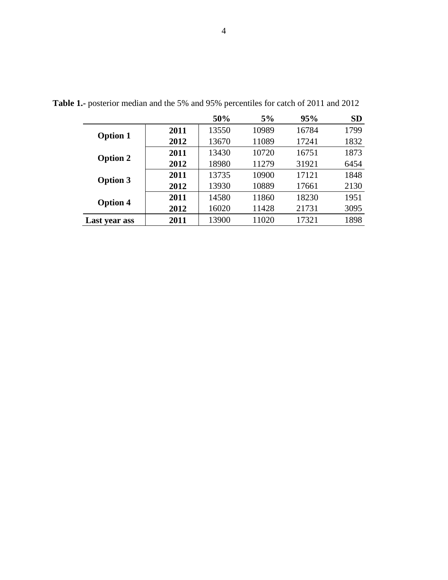|                 |      | 50%   | 5%    | 95%   | <b>SD</b> |
|-----------------|------|-------|-------|-------|-----------|
|                 | 2011 | 13550 | 10989 | 16784 | 1799      |
| <b>Option 1</b> | 2012 | 13670 | 11089 | 17241 | 1832      |
| <b>Option 2</b> | 2011 | 13430 | 10720 | 16751 | 1873      |
|                 | 2012 | 18980 | 11279 | 31921 | 6454      |
| <b>Option 3</b> | 2011 | 13735 | 10900 | 17121 | 1848      |
|                 | 2012 | 13930 | 10889 | 17661 | 2130      |
| <b>Option 4</b> | 2011 | 14580 | 11860 | 18230 | 1951      |
|                 | 2012 | 16020 | 11428 | 21731 | 3095      |
| Last year ass   | 2011 | 13900 | 11020 | 17321 | 1898      |

**Table 1.-** posterior median and the 5% and 95% percentiles for catch of 2011 and 2012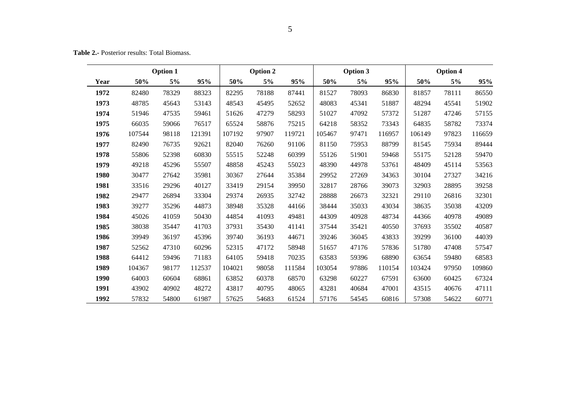**Table 2.-** Posterior results: Total Biomass.

|      | <b>Option 1</b> |       |        | <b>Option 2</b> |       | Option 3 |        |       | <b>Option 4</b> |        |       |        |
|------|-----------------|-------|--------|-----------------|-------|----------|--------|-------|-----------------|--------|-------|--------|
| Year | 50%             | 5%    | 95%    | 50%             | 5%    | 95%      | 50%    | 5%    | 95%             | 50%    | 5%    | 95%    |
| 1972 | 82480           | 78329 | 88323  | 82295           | 78188 | 87441    | 81527  | 78093 | 86830           | 81857  | 78111 | 86550  |
| 1973 | 48785           | 45643 | 53143  | 48543           | 45495 | 52652    | 48083  | 45341 | 51887           | 48294  | 45541 | 51902  |
| 1974 | 51946           | 47535 | 59461  | 51626           | 47279 | 58293    | 51027  | 47092 | 57372           | 51287  | 47246 | 57155  |
| 1975 | 66035           | 59066 | 76517  | 65524           | 58876 | 75215    | 64218  | 58352 | 73343           | 64835  | 58782 | 73374  |
| 1976 | 107544          | 98118 | 121391 | 107192          | 97907 | 119721   | 105467 | 97471 | 116957          | 106149 | 97823 | 116659 |
| 1977 | 82490           | 76735 | 92621  | 82040           | 76260 | 91106    | 81150  | 75953 | 88799           | 81545  | 75934 | 89444  |
| 1978 | 55806           | 52398 | 60830  | 55515           | 52248 | 60399    | 55126  | 51901 | 59468           | 55175  | 52128 | 59470  |
| 1979 | 49218           | 45296 | 55507  | 48858           | 45243 | 55023    | 48390  | 44978 | 53761           | 48409  | 45114 | 53563  |
| 1980 | 30477           | 27642 | 35981  | 30367           | 27644 | 35384    | 29952  | 27269 | 34363           | 30104  | 27327 | 34216  |
| 1981 | 33516           | 29296 | 40127  | 33419           | 29154 | 39950    | 32817  | 28766 | 39073           | 32903  | 28895 | 39258  |
| 1982 | 29477           | 26894 | 33304  | 29374           | 26935 | 32742    | 28888  | 26673 | 32321           | 29110  | 26816 | 32301  |
| 1983 | 39277           | 35296 | 44873  | 38948           | 35328 | 44166    | 38444  | 35033 | 43034           | 38635  | 35038 | 43209  |
| 1984 | 45026           | 41059 | 50430  | 44854           | 41093 | 49481    | 44309  | 40928 | 48734           | 44366  | 40978 | 49089  |
| 1985 | 38038           | 35447 | 41703  | 37931           | 35430 | 41141    | 37544  | 35421 | 40550           | 37693  | 35502 | 40587  |
| 1986 | 39949           | 36197 | 45396  | 39740           | 36193 | 44671    | 39246  | 36045 | 43833           | 39299  | 36100 | 44039  |
| 1987 | 52562           | 47310 | 60296  | 52315           | 47172 | 58948    | 51657  | 47176 | 57836           | 51780  | 47408 | 57547  |
| 1988 | 64412           | 59496 | 71183  | 64105           | 59418 | 70235    | 63583  | 59396 | 68890           | 63654  | 59480 | 68583  |
| 1989 | 104367          | 98177 | 112537 | 104021          | 98058 | 111584   | 103054 | 97886 | 110154          | 103424 | 97950 | 109860 |
| 1990 | 64003           | 60604 | 68861  | 63852           | 60378 | 68570    | 63298  | 60227 | 67591           | 63600  | 60425 | 67324  |
| 1991 | 43902           | 40902 | 48272  | 43817           | 40795 | 48065    | 43281  | 40684 | 47001           | 43515  | 40676 | 47111  |
| 1992 | 57832           | 54800 | 61987  | 57625           | 54683 | 61524    | 57176  | 54545 | 60816           | 57308  | 54622 | 60771  |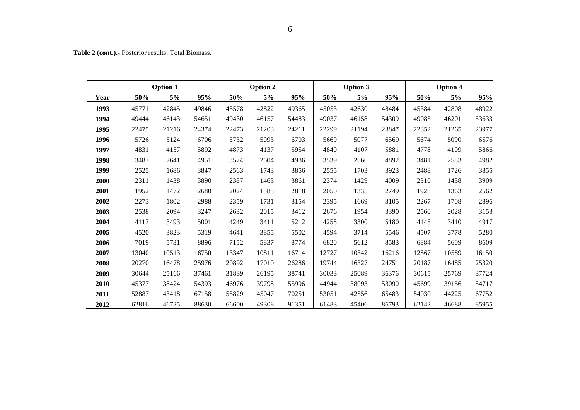**Table 2 (cont.).-** Posterior results: Total Biomass.

| <b>Option 1</b> |       |       |       |       | <b>Option 2</b> |       |       | <b>Option 3</b> |       | Option 4 |       |       |  |
|-----------------|-------|-------|-------|-------|-----------------|-------|-------|-----------------|-------|----------|-------|-------|--|
| Year            | 50%   | 5%    | 95%   | 50%   | 5%              | 95%   | 50%   | $5\%$           | 95%   | 50%      | 5%    | 95%   |  |
| 1993            | 45771 | 42845 | 49846 | 45578 | 42822           | 49365 | 45053 | 42630           | 48484 | 45384    | 42808 | 48922 |  |
| 1994            | 49444 | 46143 | 54651 | 49430 | 46157           | 54483 | 49037 | 46158           | 54309 | 49085    | 46201 | 53633 |  |
| 1995            | 22475 | 21216 | 24374 | 22473 | 21203           | 24211 | 22299 | 21194           | 23847 | 22352    | 21265 | 23977 |  |
| 1996            | 5726  | 5124  | 6706  | 5732  | 5093            | 6703  | 5669  | 5077            | 6569  | 5674     | 5090  | 6576  |  |
| 1997            | 4831  | 4157  | 5892  | 4873  | 4137            | 5954  | 4840  | 4107            | 5881  | 4778     | 4109  | 5866  |  |
| 1998            | 3487  | 2641  | 4951  | 3574  | 2604            | 4986  | 3539  | 2566            | 4892  | 3481     | 2583  | 4982  |  |
| 1999            | 2525  | 1686  | 3847  | 2563  | 1743            | 3856  | 2555  | 1703            | 3923  | 2488     | 1726  | 3855  |  |
| 2000            | 2311  | 1438  | 3890  | 2387  | 1463            | 3861  | 2374  | 1429            | 4009  | 2310     | 1438  | 3909  |  |
| 2001            | 1952  | 1472  | 2680  | 2024  | 1388            | 2818  | 2050  | 1335            | 2749  | 1928     | 1363  | 2562  |  |
| 2002            | 2273  | 1802  | 2988  | 2359  | 1731            | 3154  | 2395  | 1669            | 3105  | 2267     | 1708  | 2896  |  |
| 2003            | 2538  | 2094  | 3247  | 2632  | 2015            | 3412  | 2676  | 1954            | 3390  | 2560     | 2028  | 3153  |  |
| 2004            | 4117  | 3493  | 5001  | 4249  | 3411            | 5212  | 4258  | 3300            | 5180  | 4145     | 3410  | 4917  |  |
| 2005            | 4520  | 3823  | 5319  | 4641  | 3855            | 5502  | 4594  | 3714            | 5546  | 4507     | 3778  | 5280  |  |
| 2006            | 7019  | 5731  | 8896  | 7152  | 5837            | 8774  | 6820  | 5612            | 8583  | 6884     | 5609  | 8609  |  |
| 2007            | 13040 | 10513 | 16750 | 13347 | 10811           | 16714 | 12727 | 10342           | 16216 | 12867    | 10589 | 16150 |  |
| 2008            | 20270 | 16478 | 25976 | 20892 | 17010           | 26286 | 19744 | 16327           | 24751 | 20187    | 16485 | 25320 |  |
| 2009            | 30644 | 25166 | 37461 | 31839 | 26195           | 38741 | 30033 | 25089           | 36376 | 30615    | 25769 | 37724 |  |
| 2010            | 45377 | 38424 | 54393 | 46976 | 39798           | 55996 | 44944 | 38093           | 53090 | 45699    | 39156 | 54717 |  |
| 2011            | 52887 | 43418 | 67158 | 55829 | 45047           | 70251 | 53051 | 42556           | 65483 | 54030    | 44225 | 67752 |  |
| 2012            | 62816 | 46725 | 88630 | 66600 | 49308           | 91351 | 61483 | 45406           | 86793 | 62142    | 46688 | 85955 |  |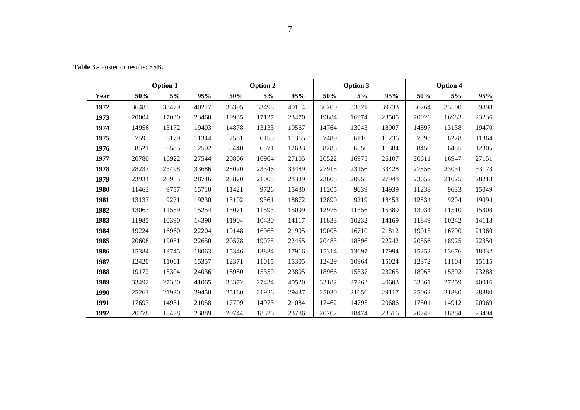**Table 3.-** Posterior results: SSB.

|      | <b>Option 1</b> |       |       |       | Option 2 |       |       | Option 3 |       | Option 4 |       |       |  |
|------|-----------------|-------|-------|-------|----------|-------|-------|----------|-------|----------|-------|-------|--|
| Year | 50%             | 5%    | 95%   | 50%   | 5%       | 95%   | 50%   | 5%       | 95%   | 50%      | 5%    | 95%   |  |
| 1972 | 36483           | 33479 | 40217 | 36395 | 33498    | 40114 | 36200 | 33321    | 39733 | 36264    | 33500 | 39898 |  |
| 1973 | 20004           | 17030 | 23460 | 19935 | 17127    | 23470 | 19884 | 16974    | 23505 | 20026    | 16983 | 23236 |  |
| 1974 | 14956           | 13172 | 19403 | 14878 | 13133    | 19567 | 14764 | 13043    | 18907 | 14897    | 13138 | 19470 |  |
| 1975 | 7593            | 6179  | 11344 | 7561  | 6153     | 11365 | 7489  | 6110     | 11236 | 7593     | 6228  | 11364 |  |
| 1976 | 8521            | 6585  | 12592 | 8440  | 6571     | 12633 | 8285  | 6550     | 11384 | 8450     | 6485  | 12305 |  |
| 1977 | 20780           | 16922 | 27544 | 20806 | 16964    | 27105 | 20522 | 16975    | 26107 | 20611    | 16947 | 27151 |  |
| 1978 | 28237           | 23498 | 33686 | 28020 | 23346    | 33489 | 27915 | 23156    | 33428 | 27856    | 23031 | 33173 |  |
| 1979 | 23934           | 20985 | 28746 | 23870 | 21008    | 28339 | 23605 | 20955    | 27948 | 23652    | 21025 | 28218 |  |
| 1980 | 11463           | 9757  | 15710 | 11421 | 9726     | 15430 | 11205 | 9639     | 14939 | 11238    | 9633  | 15049 |  |
| 1981 | 13137           | 9271  | 19230 | 13102 | 9361     | 18872 | 12890 | 9219     | 18453 | 12834    | 9204  | 19094 |  |
| 1982 | 13063           | 11559 | 15254 | 13071 | 11593    | 15099 | 12976 | 11356    | 15389 | 13034    | 11510 | 15308 |  |
| 1983 | 11985           | 10390 | 14390 | 11904 | 10430    | 14117 | 11833 | 10232    | 14169 | 11849    | 10242 | 14118 |  |
| 1984 | 19224           | 16960 | 22204 | 19148 | 16965    | 21995 | 19008 | 16710    | 21812 | 19015    | 16790 | 21960 |  |
| 1985 | 20608           | 19051 | 22650 | 20578 | 19075    | 22455 | 20483 | 18896    | 22242 | 20556    | 18925 | 22350 |  |
| 1986 | 15384           | 13745 | 18063 | 15346 | 13834    | 17916 | 15314 | 13697    | 17994 | 15252    | 13676 | 18032 |  |
| 1987 | 12420           | 11061 | 15357 | 12371 | 11015    | 15305 | 12429 | 10964    | 15024 | 12372    | 11104 | 15115 |  |
| 1988 | 19172           | 15304 | 24036 | 18980 | 15350    | 23805 | 18966 | 15337    | 23265 | 18963    | 15392 | 23288 |  |
| 1989 | 33492           | 27330 | 41065 | 33372 | 27434    | 40520 | 33182 | 27263    | 40603 | 33361    | 27259 | 40016 |  |
| 1990 | 25261           | 21930 | 29450 | 25160 | 21926    | 29437 | 25030 | 21656    | 29117 | 25062    | 21880 | 28880 |  |
| 1991 | 17693           | 14931 | 21058 | 17709 | 14973    | 21084 | 17462 | 14795    | 20686 | 17501    | 14912 | 20969 |  |
| 1992 | 20778           | 18428 | 23889 | 20744 | 18326    | 23786 | 20702 | 18474    | 23516 | 20742    | 18384 | 23494 |  |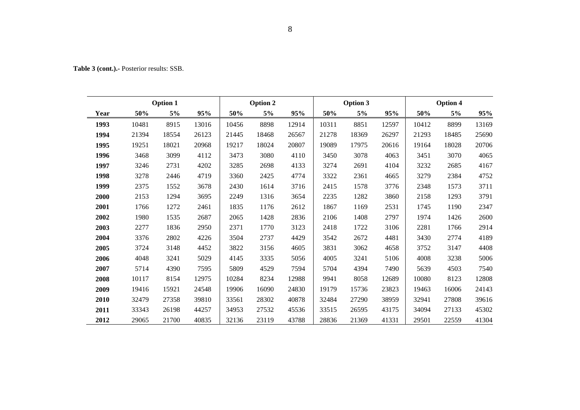| ٠ | 7<br>ć       |  |
|---|--------------|--|
|   | ٠<br>۰,<br>۹ |  |

| <b>Table 3 (cont.).</b> Posterior results: SSB. |  |
|-------------------------------------------------|--|
|                                                 |  |

| <b>Option 1</b> |       |       |       | Option 2 |       |       |       | Option 3 |       | Option 4 |       |       |  |
|-----------------|-------|-------|-------|----------|-------|-------|-------|----------|-------|----------|-------|-------|--|
| Year            | 50%   | 5%    | 95%   | 50%      | 5%    | 95%   | 50%   | $5\%$    | 95%   | 50%      | 5%    | 95%   |  |
| 1993            | 10481 | 8915  | 13016 | 10456    | 8898  | 12914 | 10311 | 8851     | 12597 | 10412    | 8899  | 13169 |  |
| 1994            | 21394 | 18554 | 26123 | 21445    | 18468 | 26567 | 21278 | 18369    | 26297 | 21293    | 18485 | 25690 |  |
| 1995            | 19251 | 18021 | 20968 | 19217    | 18024 | 20807 | 19089 | 17975    | 20616 | 19164    | 18028 | 20706 |  |
| 1996            | 3468  | 3099  | 4112  | 3473     | 3080  | 4110  | 3450  | 3078     | 4063  | 3451     | 3070  | 4065  |  |
| 1997            | 3246  | 2731  | 4202  | 3285     | 2698  | 4133  | 3274  | 2691     | 4104  | 3232     | 2685  | 4167  |  |
| 1998            | 3278  | 2446  | 4719  | 3360     | 2425  | 4774  | 3322  | 2361     | 4665  | 3279     | 2384  | 4752  |  |
| 1999            | 2375  | 1552  | 3678  | 2430     | 1614  | 3716  | 2415  | 1578     | 3776  | 2348     | 1573  | 3711  |  |
| 2000            | 2153  | 1294  | 3695  | 2249     | 1316  | 3654  | 2235  | 1282     | 3860  | 2158     | 1293  | 3791  |  |
| 2001            | 1766  | 1272  | 2461  | 1835     | 1176  | 2612  | 1867  | 1169     | 2531  | 1745     | 1190  | 2347  |  |
| 2002            | 1980  | 1535  | 2687  | 2065     | 1428  | 2836  | 2106  | 1408     | 2797  | 1974     | 1426  | 2600  |  |
| 2003            | 2277  | 1836  | 2950  | 2371     | 1770  | 3123  | 2418  | 1722     | 3106  | 2281     | 1766  | 2914  |  |
| 2004            | 3376  | 2802  | 4226  | 3504     | 2737  | 4429  | 3542  | 2672     | 4481  | 3430     | 2774  | 4189  |  |
| 2005            | 3724  | 3148  | 4452  | 3822     | 3156  | 4605  | 3831  | 3062     | 4658  | 3752     | 3147  | 4408  |  |
| 2006            | 4048  | 3241  | 5029  | 4145     | 3335  | 5056  | 4005  | 3241     | 5106  | 4008     | 3238  | 5006  |  |
| 2007            | 5714  | 4390  | 7595  | 5809     | 4529  | 7594  | 5704  | 4394     | 7490  | 5639     | 4503  | 7540  |  |
| 2008            | 10117 | 8154  | 12975 | 10284    | 8234  | 12988 | 9941  | 8058     | 12689 | 10080    | 8123  | 12808 |  |
| 2009            | 19416 | 15921 | 24548 | 19906    | 16090 | 24830 | 19179 | 15736    | 23823 | 19463    | 16006 | 24143 |  |
| 2010            | 32479 | 27358 | 39810 | 33561    | 28302 | 40878 | 32484 | 27290    | 38959 | 32941    | 27808 | 39616 |  |
| 2011            | 33343 | 26198 | 44257 | 34953    | 27532 | 45536 | 33515 | 26595    | 43175 | 34094    | 27133 | 45302 |  |
| 2012            | 29065 | 21700 | 40835 | 32136    | 23119 | 43788 | 28836 | 21369    | 41331 | 29501    | 22559 | 41304 |  |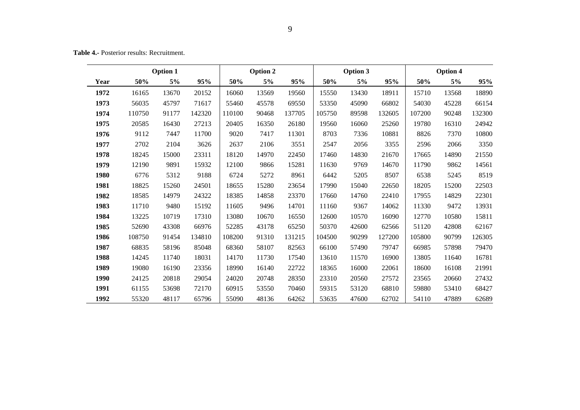**Table 4.-** Posterior results: Recruitment.

|      | <b>Option 1</b> |       |        | <b>Option 2</b> |       |        | Option 3 |       |        | Option 4 |       |        |
|------|-----------------|-------|--------|-----------------|-------|--------|----------|-------|--------|----------|-------|--------|
| Year | 50%             | 5%    | 95%    | 50%             | 5%    | 95%    | 50%      | 5%    | 95%    | 50%      | 5%    | 95%    |
| 1972 | 16165           | 13670 | 20152  | 16060           | 13569 | 19560  | 15550    | 13430 | 18911  | 15710    | 13568 | 18890  |
| 1973 | 56035           | 45797 | 71617  | 55460           | 45578 | 69550  | 53350    | 45090 | 66802  | 54030    | 45228 | 66154  |
| 1974 | 110750          | 91177 | 142320 | 110100          | 90468 | 137705 | 105750   | 89598 | 132605 | 107200   | 90248 | 132300 |
| 1975 | 20585           | 16430 | 27213  | 20405           | 16350 | 26180  | 19560    | 16060 | 25260  | 19780    | 16310 | 24942  |
| 1976 | 9112            | 7447  | 11700  | 9020            | 7417  | 11301  | 8703     | 7336  | 10881  | 8826     | 7370  | 10800  |
| 1977 | 2702            | 2104  | 3626   | 2637            | 2106  | 3551   | 2547     | 2056  | 3355   | 2596     | 2066  | 3350   |
| 1978 | 18245           | 15000 | 23311  | 18120           | 14970 | 22450  | 17460    | 14830 | 21670  | 17665    | 14890 | 21550  |
| 1979 | 12190           | 9891  | 15932  | 12100           | 9866  | 15281  | 11630    | 9769  | 14670  | 11790    | 9862  | 14561  |
| 1980 | 6776            | 5312  | 9188   | 6724            | 5272  | 8961   | 6442     | 5205  | 8507   | 6538     | 5245  | 8519   |
| 1981 | 18825           | 15260 | 24501  | 18655           | 15280 | 23654  | 17990    | 15040 | 22650  | 18205    | 15200 | 22503  |
| 1982 | 18585           | 14979 | 24322  | 18385           | 14858 | 23370  | 17660    | 14760 | 22410  | 17955    | 14829 | 22301  |
| 1983 | 11710           | 9480  | 15192  | 11605           | 9496  | 14701  | 11160    | 9367  | 14062  | 11330    | 9472  | 13931  |
| 1984 | 13225           | 10719 | 17310  | 13080           | 10670 | 16550  | 12600    | 10570 | 16090  | 12770    | 10580 | 15811  |
| 1985 | 52690           | 43308 | 66976  | 52285           | 43178 | 65250  | 50370    | 42600 | 62566  | 51120    | 42808 | 62167  |
| 1986 | 108750          | 91454 | 134810 | 108200          | 91310 | 131215 | 104500   | 90299 | 127200 | 105800   | 90799 | 126305 |
| 1987 | 68835           | 58196 | 85048  | 68360           | 58107 | 82563  | 66100    | 57490 | 79747  | 66985    | 57898 | 79470  |
| 1988 | 14245           | 11740 | 18031  | 14170           | 11730 | 17540  | 13610    | 11570 | 16900  | 13805    | 11640 | 16781  |
| 1989 | 19080           | 16190 | 23356  | 18990           | 16140 | 22722  | 18365    | 16000 | 22061  | 18600    | 16108 | 21991  |
| 1990 | 24125           | 20818 | 29054  | 24020           | 20748 | 28350  | 23310    | 20560 | 27572  | 23565    | 20660 | 27432  |
| 1991 | 61155           | 53698 | 72170  | 60915           | 53550 | 70460  | 59315    | 53120 | 68810  | 59880    | 53410 | 68427  |
| 1992 | 55320           | 48117 | 65796  | 55090           | 48136 | 64262  | 53635    | 47600 | 62702  | 54110    | 47889 | 62689  |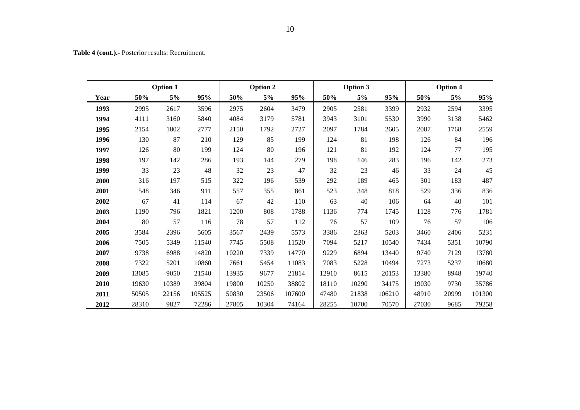**Table 4 (cont.).-** Posterior results: Recruitment.

| <b>Option 1</b> |       |       |        | <b>Option 2</b> |       |        |       | <b>Option 3</b> |        | <b>Option 4</b> |       |        |  |
|-----------------|-------|-------|--------|-----------------|-------|--------|-------|-----------------|--------|-----------------|-------|--------|--|
| Year            | 50%   | 5%    | 95%    | 50%             | 5%    | 95%    | 50%   | 5%              | 95%    | 50%             | 5%    | 95%    |  |
| 1993            | 2995  | 2617  | 3596   | 2975            | 2604  | 3479   | 2905  | 2581            | 3399   | 2932            | 2594  | 3395   |  |
| 1994            | 4111  | 3160  | 5840   | 4084            | 3179  | 5781   | 3943  | 3101            | 5530   | 3990            | 3138  | 5462   |  |
| 1995            | 2154  | 1802  | 2777   | 2150            | 1792  | 2727   | 2097  | 1784            | 2605   | 2087            | 1768  | 2559   |  |
| 1996            | 130   | 87    | 210    | 129             | 85    | 199    | 124   | 81              | 198    | 126             | 84    | 196    |  |
| 1997            | 126   | 80    | 199    | 124             | 80    | 196    | 121   | 81              | 192    | 124             | 77    | 195    |  |
| 1998            | 197   | 142   | 286    | 193             | 144   | 279    | 198   | 146             | 283    | 196             | 142   | 273    |  |
| 1999            | 33    | 23    | 48     | 32              | 23    | 47     | 32    | 23              | 46     | 33              | 24    | 45     |  |
| 2000            | 316   | 197   | 515    | 322             | 196   | 539    | 292   | 189             | 465    | 301             | 183   | 487    |  |
| 2001            | 548   | 346   | 911    | 557             | 355   | 861    | 523   | 348             | 818    | 529             | 336   | 836    |  |
| 2002            | 67    | 41    | 114    | 67              | 42    | 110    | 63    | 40              | 106    | 64              | 40    | 101    |  |
| 2003            | 1190  | 796   | 1821   | 1200            | 808   | 1788   | 1136  | 774             | 1745   | 1128            | 776   | 1781   |  |
| 2004            | 80    | 57    | 116    | 78              | 57    | 112    | 76    | 57              | 109    | 76              | 57    | 106    |  |
| 2005            | 3584  | 2396  | 5605   | 3567            | 2439  | 5573   | 3386  | 2363            | 5203   | 3460            | 2406  | 5231   |  |
| 2006            | 7505  | 5349  | 11540  | 7745            | 5508  | 11520  | 7094  | 5217            | 10540  | 7434            | 5351  | 10790  |  |
| 2007            | 9738  | 6988  | 14820  | 10220           | 7339  | 14770  | 9229  | 6894            | 13440  | 9740            | 7129  | 13780  |  |
| 2008            | 7322  | 5201  | 10860  | 7661            | 5454  | 11083  | 7083  | 5228            | 10494  | 7273            | 5237  | 10680  |  |
| 2009            | 13085 | 9050  | 21540  | 13935           | 9677  | 21814  | 12910 | 8615            | 20153  | 13380           | 8948  | 19740  |  |
| 2010            | 19630 | 10389 | 39804  | 19800           | 10250 | 38802  | 18110 | 10290           | 34175  | 19030           | 9730  | 35786  |  |
| 2011            | 50505 | 22156 | 105525 | 50830           | 23506 | 107600 | 47480 | 21838           | 106210 | 48910           | 20999 | 101300 |  |
| 2012            | 28310 | 9827  | 72286  | 27805           | 10304 | 74164  | 28255 | 10700           | 70570  | 27030           | 9685  | 79258  |  |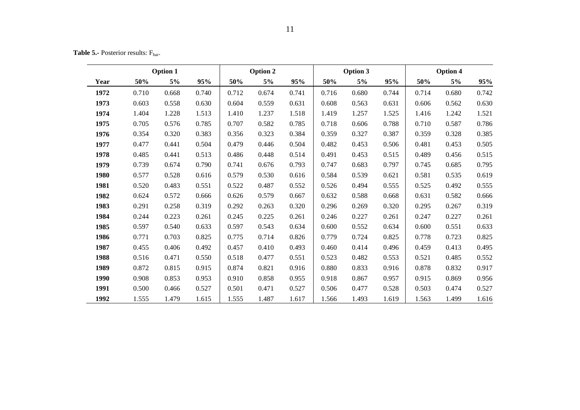**Table 5.-** Posterior results: F<sub>bar</sub>.

| <b>Option 1</b> |       |       |       |       | Option 2 |       |       | Option 3 |       |       | Option 4 |       |
|-----------------|-------|-------|-------|-------|----------|-------|-------|----------|-------|-------|----------|-------|
| Year            | 50%   | 5%    | 95%   | 50%   | 5%       | 95%   | 50%   | 5%       | 95%   | 50%   | 5%       | 95%   |
| 1972            | 0.710 | 0.668 | 0.740 | 0.712 | 0.674    | 0.741 | 0.716 | 0.680    | 0.744 | 0.714 | 0.680    | 0.742 |
| 1973            | 0.603 | 0.558 | 0.630 | 0.604 | 0.559    | 0.631 | 0.608 | 0.563    | 0.631 | 0.606 | 0.562    | 0.630 |
| 1974            | 1.404 | 1.228 | 1.513 | 1.410 | 1.237    | 1.518 | 1.419 | 1.257    | 1.525 | 1.416 | 1.242    | 1.521 |
| 1975            | 0.705 | 0.576 | 0.785 | 0.707 | 0.582    | 0.785 | 0.718 | 0.606    | 0.788 | 0.710 | 0.587    | 0.786 |
| 1976            | 0.354 | 0.320 | 0.383 | 0.356 | 0.323    | 0.384 | 0.359 | 0.327    | 0.387 | 0.359 | 0.328    | 0.385 |
| 1977            | 0.477 | 0.441 | 0.504 | 0.479 | 0.446    | 0.504 | 0.482 | 0.453    | 0.506 | 0.481 | 0.453    | 0.505 |
| 1978            | 0.485 | 0.441 | 0.513 | 0.486 | 0.448    | 0.514 | 0.491 | 0.453    | 0.515 | 0.489 | 0.456    | 0.515 |
| 1979            | 0.739 | 0.674 | 0.790 | 0.741 | 0.676    | 0.793 | 0.747 | 0.683    | 0.797 | 0.745 | 0.685    | 0.795 |
| 1980            | 0.577 | 0.528 | 0.616 | 0.579 | 0.530    | 0.616 | 0.584 | 0.539    | 0.621 | 0.581 | 0.535    | 0.619 |
| 1981            | 0.520 | 0.483 | 0.551 | 0.522 | 0.487    | 0.552 | 0.526 | 0.494    | 0.555 | 0.525 | 0.492    | 0.555 |
| 1982            | 0.624 | 0.572 | 0.666 | 0.626 | 0.579    | 0.667 | 0.632 | 0.588    | 0.668 | 0.631 | 0.582    | 0.666 |
| 1983            | 0.291 | 0.258 | 0.319 | 0.292 | 0.263    | 0.320 | 0.296 | 0.269    | 0.320 | 0.295 | 0.267    | 0.319 |
| 1984            | 0.244 | 0.223 | 0.261 | 0.245 | 0.225    | 0.261 | 0.246 | 0.227    | 0.261 | 0.247 | 0.227    | 0.261 |
| 1985            | 0.597 | 0.540 | 0.633 | 0.597 | 0.543    | 0.634 | 0.600 | 0.552    | 0.634 | 0.600 | 0.551    | 0.633 |
| 1986            | 0.771 | 0.703 | 0.825 | 0.775 | 0.714    | 0.826 | 0.779 | 0.724    | 0.825 | 0.778 | 0.723    | 0.825 |
| 1987            | 0.455 | 0.406 | 0.492 | 0.457 | 0.410    | 0.493 | 0.460 | 0.414    | 0.496 | 0.459 | 0.413    | 0.495 |
| 1988            | 0.516 | 0.471 | 0.550 | 0.518 | 0.477    | 0.551 | 0.523 | 0.482    | 0.553 | 0.521 | 0.485    | 0.552 |
| 1989            | 0.872 | 0.815 | 0.915 | 0.874 | 0.821    | 0.916 | 0.880 | 0.833    | 0.916 | 0.878 | 0.832    | 0.917 |
| 1990            | 0.908 | 0.853 | 0.953 | 0.910 | 0.858    | 0.955 | 0.918 | 0.867    | 0.957 | 0.915 | 0.869    | 0.956 |
| 1991            | 0.500 | 0.466 | 0.527 | 0.501 | 0.471    | 0.527 | 0.506 | 0.477    | 0.528 | 0.503 | 0.474    | 0.527 |
| 1992            | 1.555 | 1.479 | 1.615 | 1.555 | 1.487    | 1.617 | 1.566 | 1.493    | 1.619 | 1.563 | 1.499    | 1.616 |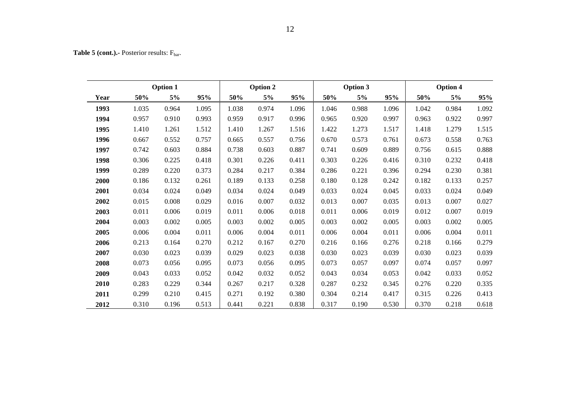Table 5 (cont.). Posterior results: F<sub>bar</sub>.

|      | <b>Option 1</b> |       |       | Option 2 |       |       | Option 3 |       |       | Option 4 |       |       |  |
|------|-----------------|-------|-------|----------|-------|-------|----------|-------|-------|----------|-------|-------|--|
| Year | 50%             | 5%    | 95%   | 50%      | 5%    | 95%   | 50%      | $5\%$ | 95%   | 50%      | 5%    | 95%   |  |
| 1993 | 1.035           | 0.964 | 1.095 | 1.038    | 0.974 | 1.096 | 1.046    | 0.988 | 1.096 | 1.042    | 0.984 | 1.092 |  |
| 1994 | 0.957           | 0.910 | 0.993 | 0.959    | 0.917 | 0.996 | 0.965    | 0.920 | 0.997 | 0.963    | 0.922 | 0.997 |  |
| 1995 | 1.410           | 1.261 | 1.512 | 1.410    | 1.267 | 1.516 | 1.422    | 1.273 | 1.517 | 1.418    | 1.279 | 1.515 |  |
| 1996 | 0.667           | 0.552 | 0.757 | 0.665    | 0.557 | 0.756 | 0.670    | 0.573 | 0.761 | 0.673    | 0.558 | 0.763 |  |
| 1997 | 0.742           | 0.603 | 0.884 | 0.738    | 0.603 | 0.887 | 0.741    | 0.609 | 0.889 | 0.756    | 0.615 | 0.888 |  |
| 1998 | 0.306           | 0.225 | 0.418 | 0.301    | 0.226 | 0.411 | 0.303    | 0.226 | 0.416 | 0.310    | 0.232 | 0.418 |  |
| 1999 | 0.289           | 0.220 | 0.373 | 0.284    | 0.217 | 0.384 | 0.286    | 0.221 | 0.396 | 0.294    | 0.230 | 0.381 |  |
| 2000 | 0.186           | 0.132 | 0.261 | 0.189    | 0.133 | 0.258 | 0.180    | 0.128 | 0.242 | 0.182    | 0.133 | 0.257 |  |
| 2001 | 0.034           | 0.024 | 0.049 | 0.034    | 0.024 | 0.049 | 0.033    | 0.024 | 0.045 | 0.033    | 0.024 | 0.049 |  |
| 2002 | 0.015           | 0.008 | 0.029 | 0.016    | 0.007 | 0.032 | 0.013    | 0.007 | 0.035 | 0.013    | 0.007 | 0.027 |  |
| 2003 | 0.011           | 0.006 | 0.019 | 0.011    | 0.006 | 0.018 | 0.011    | 0.006 | 0.019 | 0.012    | 0.007 | 0.019 |  |
| 2004 | 0.003           | 0.002 | 0.005 | 0.003    | 0.002 | 0.005 | 0.003    | 0.002 | 0.005 | 0.003    | 0.002 | 0.005 |  |
| 2005 | 0.006           | 0.004 | 0.011 | 0.006    | 0.004 | 0.011 | 0.006    | 0.004 | 0.011 | 0.006    | 0.004 | 0.011 |  |
| 2006 | 0.213           | 0.164 | 0.270 | 0.212    | 0.167 | 0.270 | 0.216    | 0.166 | 0.276 | 0.218    | 0.166 | 0.279 |  |
| 2007 | 0.030           | 0.023 | 0.039 | 0.029    | 0.023 | 0.038 | 0.030    | 0.023 | 0.039 | 0.030    | 0.023 | 0.039 |  |
| 2008 | 0.073           | 0.056 | 0.095 | 0.073    | 0.056 | 0.095 | 0.073    | 0.057 | 0.097 | 0.074    | 0.057 | 0.097 |  |
| 2009 | 0.043           | 0.033 | 0.052 | 0.042    | 0.032 | 0.052 | 0.043    | 0.034 | 0.053 | 0.042    | 0.033 | 0.052 |  |
| 2010 | 0.283           | 0.229 | 0.344 | 0.267    | 0.217 | 0.328 | 0.287    | 0.232 | 0.345 | 0.276    | 0.220 | 0.335 |  |
| 2011 | 0.299           | 0.210 | 0.415 | 0.271    | 0.192 | 0.380 | 0.304    | 0.214 | 0.417 | 0.315    | 0.226 | 0.413 |  |
| 2012 | 0.310           | 0.196 | 0.513 | 0.441    | 0.221 | 0.838 | 0.317    | 0.190 | 0.530 | 0.370    | 0.218 | 0.618 |  |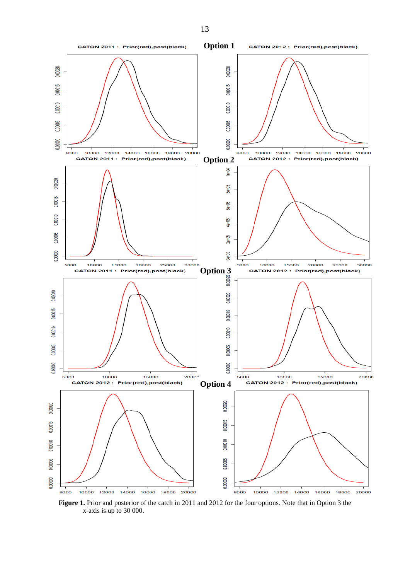

**Figure 1.** Prior and posterior of the catch in 2011 and 2012 for the four options. Note that in Option 3 the x-axis is up to 30 000.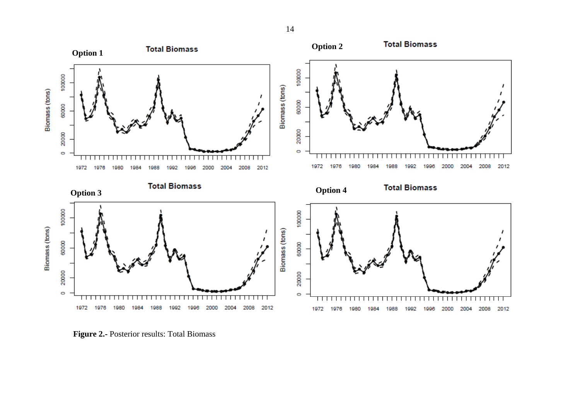

**Figure 2.-** Posterior results: Total Biomass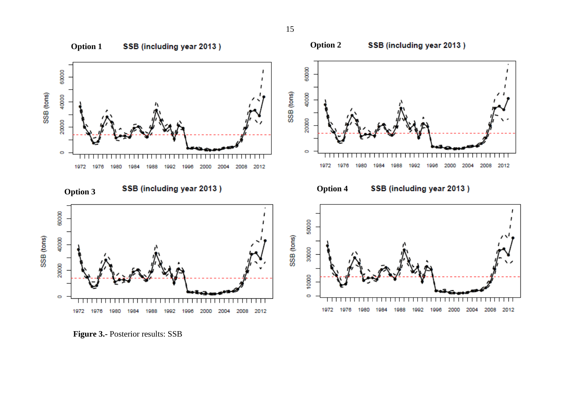![](_page_14_Figure_0.jpeg)

**Figure 3.-** Posterior results: SSB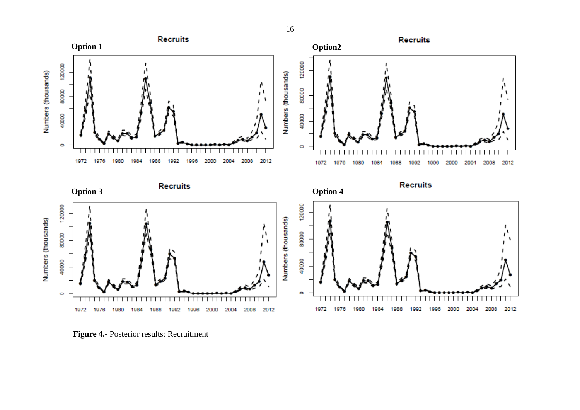![](_page_15_Figure_0.jpeg)

**Figure 4.-** Posterior results: Recruitment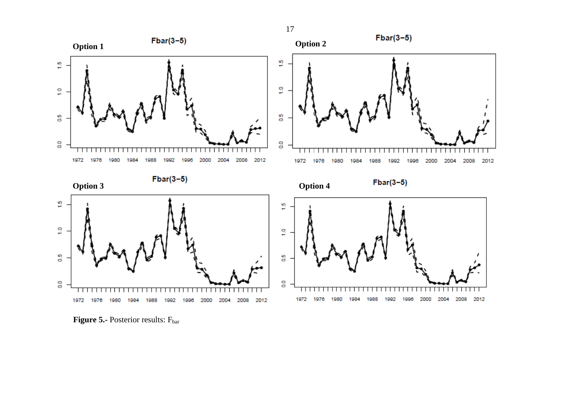![](_page_16_Figure_0.jpeg)

**Figure 5.-** Posterior results: F<sub>bar</sub>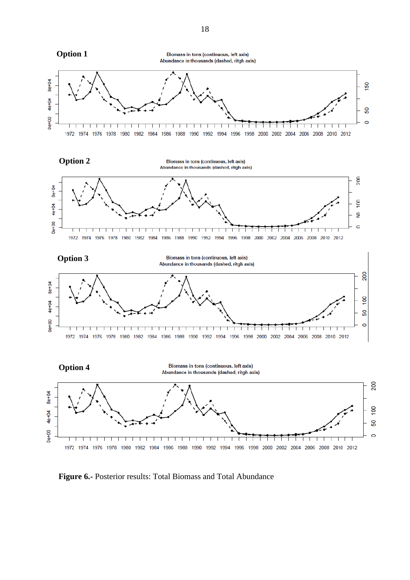![](_page_17_Figure_0.jpeg)

**Figure 6.-** Posterior results: Total Biomass and Total Abundance